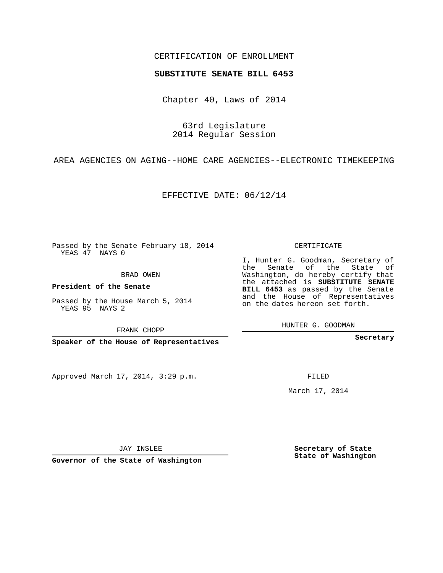## CERTIFICATION OF ENROLLMENT

## **SUBSTITUTE SENATE BILL 6453**

Chapter 40, Laws of 2014

63rd Legislature 2014 Regular Session

AREA AGENCIES ON AGING--HOME CARE AGENCIES--ELECTRONIC TIMEKEEPING

EFFECTIVE DATE: 06/12/14

Passed by the Senate February 18, 2014 YEAS 47 NAYS 0

BRAD OWEN

**President of the Senate**

Passed by the House March 5, 2014 YEAS 95 NAYS 2

FRANK CHOPP

**Speaker of the House of Representatives**

Approved March 17, 2014, 3:29 p.m.

CERTIFICATE

I, Hunter G. Goodman, Secretary of the Senate of the State of Washington, do hereby certify that the attached is **SUBSTITUTE SENATE BILL 6453** as passed by the Senate and the House of Representatives on the dates hereon set forth.

HUNTER G. GOODMAN

**Secretary**

FILED

March 17, 2014

**Secretary of State State of Washington**

JAY INSLEE

**Governor of the State of Washington**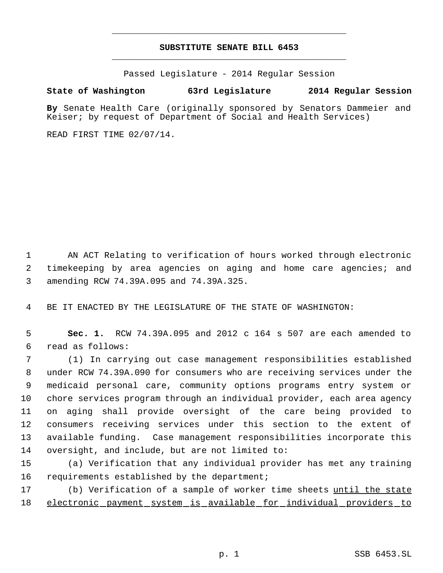## **SUBSTITUTE SENATE BILL 6453** \_\_\_\_\_\_\_\_\_\_\_\_\_\_\_\_\_\_\_\_\_\_\_\_\_\_\_\_\_\_\_\_\_\_\_\_\_\_\_\_\_\_\_\_\_

\_\_\_\_\_\_\_\_\_\_\_\_\_\_\_\_\_\_\_\_\_\_\_\_\_\_\_\_\_\_\_\_\_\_\_\_\_\_\_\_\_\_\_\_\_

Passed Legislature - 2014 Regular Session

## **State of Washington 63rd Legislature 2014 Regular Session**

**By** Senate Health Care (originally sponsored by Senators Dammeier and Keiser; by request of Department of Social and Health Services)

READ FIRST TIME 02/07/14.

 1 AN ACT Relating to verification of hours worked through electronic 2 timekeeping by area agencies on aging and home care agencies; and 3 amending RCW 74.39A.095 and 74.39A.325.

4 BE IT ENACTED BY THE LEGISLATURE OF THE STATE OF WASHINGTON:

 5 **Sec. 1.** RCW 74.39A.095 and 2012 c 164 s 507 are each amended to 6 read as follows:

 (1) In carrying out case management responsibilities established under RCW 74.39A.090 for consumers who are receiving services under the medicaid personal care, community options programs entry system or chore services program through an individual provider, each area agency on aging shall provide oversight of the care being provided to consumers receiving services under this section to the extent of available funding. Case management responsibilities incorporate this oversight, and include, but are not limited to:

15 (a) Verification that any individual provider has met any training 16 requirements established by the department;

17 (b) Verification of a sample of worker time sheets until the state 18 electronic payment system is available for individual providers to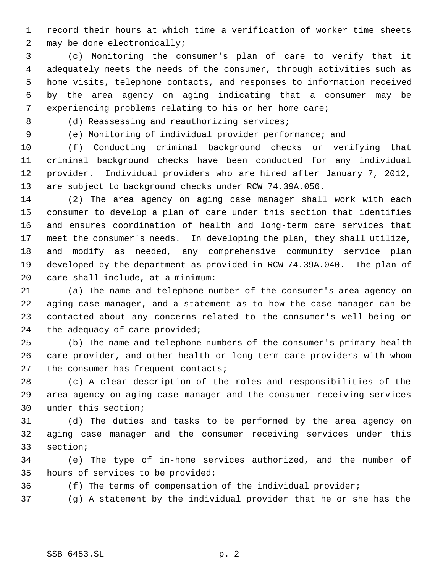1 record their hours at which time a verification of worker time sheets

2 may be done electronically;

 (c) Monitoring the consumer's plan of care to verify that it adequately meets the needs of the consumer, through activities such as home visits, telephone contacts, and responses to information received by the area agency on aging indicating that a consumer may be experiencing problems relating to his or her home care;

8 (d) Reassessing and reauthorizing services;

(e) Monitoring of individual provider performance; and

 (f) Conducting criminal background checks or verifying that criminal background checks have been conducted for any individual provider. Individual providers who are hired after January 7, 2012, are subject to background checks under RCW 74.39A.056.

 (2) The area agency on aging case manager shall work with each consumer to develop a plan of care under this section that identifies and ensures coordination of health and long-term care services that meet the consumer's needs. In developing the plan, they shall utilize, and modify as needed, any comprehensive community service plan developed by the department as provided in RCW 74.39A.040. The plan of care shall include, at a minimum:

 (a) The name and telephone number of the consumer's area agency on aging case manager, and a statement as to how the case manager can be contacted about any concerns related to the consumer's well-being or the adequacy of care provided;

 (b) The name and telephone numbers of the consumer's primary health care provider, and other health or long-term care providers with whom 27 the consumer has frequent contacts;

 (c) A clear description of the roles and responsibilities of the area agency on aging case manager and the consumer receiving services under this section;

 (d) The duties and tasks to be performed by the area agency on aging case manager and the consumer receiving services under this section;

 (e) The type of in-home services authorized, and the number of hours of services to be provided;

(f) The terms of compensation of the individual provider;

(g) A statement by the individual provider that he or she has the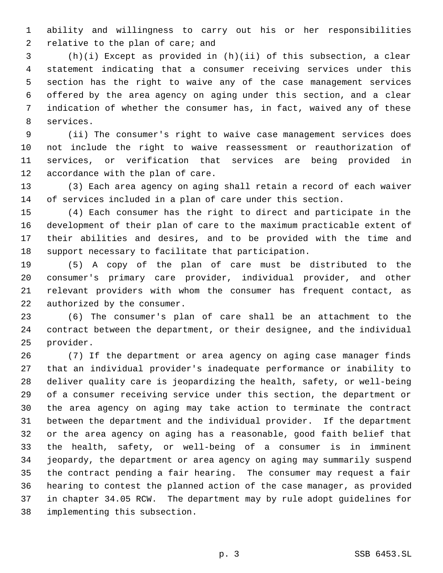ability and willingness to carry out his or her responsibilities 2 relative to the plan of care; and

 (h)(i) Except as provided in (h)(ii) of this subsection, a clear statement indicating that a consumer receiving services under this section has the right to waive any of the case management services offered by the area agency on aging under this section, and a clear indication of whether the consumer has, in fact, waived any of these services.

 (ii) The consumer's right to waive case management services does not include the right to waive reassessment or reauthorization of services, or verification that services are being provided in accordance with the plan of care.

 (3) Each area agency on aging shall retain a record of each waiver of services included in a plan of care under this section.

 (4) Each consumer has the right to direct and participate in the development of their plan of care to the maximum practicable extent of their abilities and desires, and to be provided with the time and support necessary to facilitate that participation.

 (5) A copy of the plan of care must be distributed to the consumer's primary care provider, individual provider, and other relevant providers with whom the consumer has frequent contact, as authorized by the consumer.

 (6) The consumer's plan of care shall be an attachment to the contract between the department, or their designee, and the individual provider.

 (7) If the department or area agency on aging case manager finds that an individual provider's inadequate performance or inability to deliver quality care is jeopardizing the health, safety, or well-being of a consumer receiving service under this section, the department or the area agency on aging may take action to terminate the contract between the department and the individual provider. If the department or the area agency on aging has a reasonable, good faith belief that the health, safety, or well-being of a consumer is in imminent jeopardy, the department or area agency on aging may summarily suspend the contract pending a fair hearing. The consumer may request a fair hearing to contest the planned action of the case manager, as provided in chapter 34.05 RCW. The department may by rule adopt guidelines for implementing this subsection.